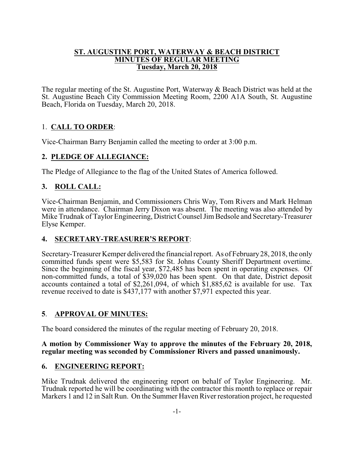#### **ST. AUGUSTINE PORT, WATERWAY & BEACH DISTRICT MINUTES OF REGULAR MEETING Tuesday, March 20, 2018**

The regular meeting of the St. Augustine Port, Waterway & Beach District was held at the St. Augustine Beach City Commission Meeting Room, 2200 A1A South, St. Augustine Beach, Florida on Tuesday, March 20, 2018.

# 1. **CALL TO ORDER**:

Vice-Chairman Barry Benjamin called the meeting to order at 3:00 p.m.

## **2. PLEDGE OF ALLEGIANCE:**

The Pledge of Allegiance to the flag of the United States of America followed.

# **3. ROLL CALL:**

Vice-Chairman Benjamin, and Commissioners Chris Way, Tom Rivers and Mark Helman were in attendance. Chairman Jerry Dixon was absent. The meeting was also attended by Mike Trudnak of Taylor Engineering, District Counsel Jim Bedsole and Secretary-Treasurer Elyse Kemper.

# **4. SECRETARY-TREASURER'S REPORT**:

Secretary-Treasurer Kemper delivered the financial report. As of February28, 2018, the only committed funds spent were \$5,583 for St. Johns County Sheriff Department overtime. Since the beginning of the fiscal year, \$72,485 has been spent in operating expenses. Of non-committed funds, a total of \$39,020 has been spent. On that date, District deposit accounts contained a total of \$2,261,094, of which \$1,885,62 is available for use. Tax revenue received to date is \$437,177 with another \$7,971 expected this year.

# **5**. **APPROVAL OF MINUTES:**

The board considered the minutes of the regular meeting of February 20, 2018.

### **A motion by Commissioner Way to approve the minutes of the February 20, 2018, regular meeting was seconded by Commissioner Rivers and passed unanimously.**

## **6. ENGINEERING REPORT:**

Mike Trudnak delivered the engineering report on behalf of Taylor Engineering. Mr. Trudnak reported he will be coordinating with the contractor this month to replace or repair Markers 1 and 12 in Salt Run. On the Summer Haven River restoration project, he requested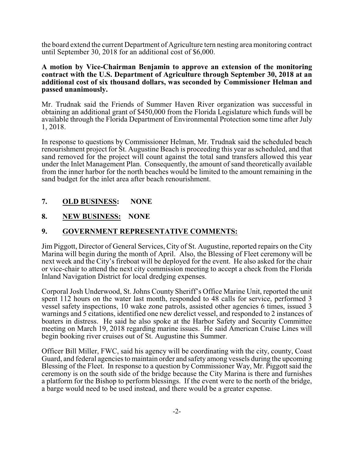the board extend the current Department of Agriculture tern nesting area monitoring contract until September 30, 2018 for an additional cost of \$6,000.

#### **A motion by Vice-Chairman Benjamin to approve an extension of the monitoring contract with the U.S. Department of Agriculture through September 30, 2018 at an additional cost of six thousand dollars, was seconded by Commissioner Helman and passed unanimously.**

Mr. Trudnak said the Friends of Summer Haven River organization was successful in obtaining an additional grant of \$450,000 from the Florida Legislature which funds will be available through the Florida Department of Environmental Protection some time after July 1, 2018.

In response to questions by Commissioner Helman, Mr. Trudnak said the scheduled beach renourishment project for St. Augustine Beach is proceeding this year as scheduled, and that sand removed for the project will count against the total sand transfers allowed this year under the Inlet Management Plan. Consequently, the amount of sand theoretically available from the inner harbor for the north beaches would be limited to the amount remaining in the sand budget for the inlet area after beach renourishment.

## **7. OLD BUSINESS: NONE**

### **8. NEW BUSINESS: NONE**

### **9. GOVERNMENT REPRESENTATIVE COMMENTS:**

Jim Piggott, Director of General Services, City of St. Augustine, reported repairs on the City Marina will begin during the month of April. Also, the Blessing of Fleet ceremony will be next week and the City's fireboat will be deployed for the event. He also asked for the chair or vice-chair to attend the next city commission meeting to accept a check from the Florida Inland Navigation District for local dredging expenses.

Corporal Josh Underwood, St. Johns County Sheriff's Office Marine Unit, reported the unit spent 112 hours on the water last month, responded to 48 calls for service, performed 3 vessel safety inspections, 10 wake zone patrols, assisted other agencies 6 times, issued 3 warnings and 5 citations, identified one new derelict vessel, and responded to 2 instances of boaters in distress. He said he also spoke at the Harbor Safety and Security Committee meeting on March 19, 2018 regarding marine issues. He said American Cruise Lines will begin booking river cruises out of St. Augustine this Summer.

Officer Bill Miller, FWC, said his agency will be coordinating with the city, county, Coast Guard, and federal agencies to maintain order and safety among vessels during the upcoming Blessing of the Fleet. In response to a question by Commissioner Way, Mr. Piggott said the ceremony is on the south side of the bridge because the City Marina is there and furnishes a platform for the Bishop to perform blessings. If the event were to the north of the bridge, a barge would need to be used instead, and there would be a greater expense.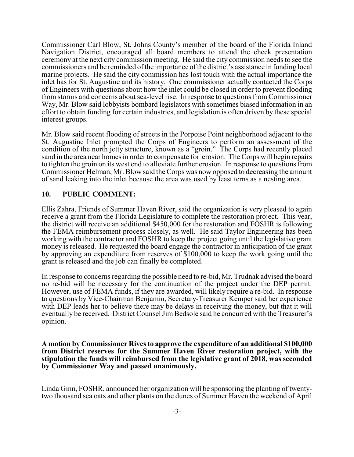Commissioner Carl Blow, St. Johns County's member of the board of the Florida Inland Navigation District, encouraged all board members to attend the check presentation ceremony at the next city commission meeting. He said the city commission needs to see the commissioners and be reminded ofthe importance of the district's assistance in funding local marine projects. He said the city commission has lost touch with the actual importance the inlet has for St. Augustine and its history. One commissioner actually contacted the Corps of Engineers with questions about how the inlet could be closed in order to prevent flooding from storms and concerns about sea-level rise. In response to questions from Commissioner Way, Mr. Blow said lobbyists bombard legislators with sometimes biased information in an effort to obtain funding for certain industries, and legislation is often driven by these special interest groups.

Mr. Blow said recent flooding of streets in the Porpoise Point neighborhood adjacent to the St. Augustine Inlet prompted the Corps of Engineers to perform an assessment of the condition of the north jetty structure, known as a "groin." The Corps had recently placed sand in the area near homes in order to compensate for erosion. The Corps will begin repairs to tighten the groin on its west end to alleviate further erosion. In response to questions from Commissioner Helman, Mr. Blow said the Corps was now opposed to decreasing the amount of sand leaking into the inlet because the area was used by least terns as a nesting area.

## **10. PUBLIC COMMENT:**

Ellis Zahra, Friends of Summer Haven River, said the organization is very pleased to again receive a grant from the Florida Legislature to complete the restoration project. This year, the district will receive an additional \$450,000 for the restoration and FOSHR is following the FEMA reimbursement process closely, as well. He said Taylor Engineering has been working with the contractor and FOSHR to keep the project going until the legislative grant money is released. He requested the board engage the contractor in anticipation of the grant by approving an expenditure from reserves of \$100,000 to keep the work going until the grant is released and the job can finally be completed.

In response to concerns regarding the possible need to re-bid, Mr. Trudnak advised the board no re-bid will be necessary for the continuation of the project under the DEP permit. However, use of FEMA funds, if they are awarded, will likely require a re-bid. In response to questions by Vice-Chairman Benjamin, Secretary-Treasurer Kemper said her experience with DEP leads her to believe there may be delays in receiving the money, but that it will eventually be received. District Counsel Jim Bedsole said he concurred with the Treasurer's opinion.

**A motion by Commissioner Rives to approve the expenditure of an additional \$100,000 from District reserves for the Summer Haven River restoration project, with the stipulation the funds will reimbursed from the legislative grant of 2018, was seconded by Commissioner Way and passed unanimously.**

Linda Ginn, FOSHR, announced her organization will be sponsoring the planting of twentytwo thousand sea oats and other plants on the dunes of Summer Haven the weekend of April